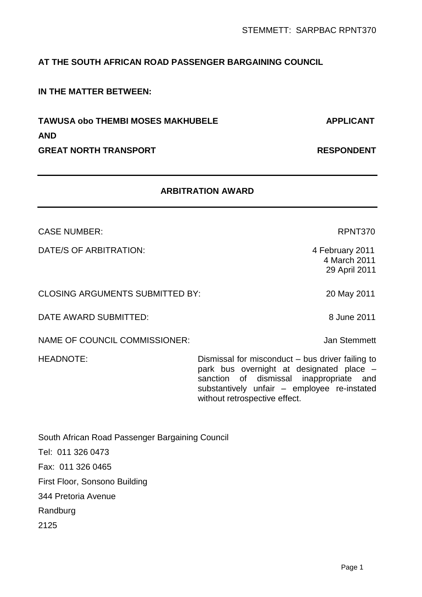# **AT THE SOUTH AFRICAN ROAD PASSENGER BARGAINING COUNCIL**

# **IN THE MATTER BETWEEN:**

**TAWUSA obo THEMBI MOSES MAKHUBELE APPLICANT AND GREAT NORTH TRANSPORT RESPONDENT** 

# **ARBITRATION AWARD**

CASE NUMBER: RPNT370

DATE/S OF ARBITRATION: 4 February 2011

CLOSING ARGUMENTS SUBMITTED BY: 20 May 2011

DATE AWARD SUBMITTED: 8 June 2011

NAME OF COUNCIL COMMISSIONER: Jan Stemmett

HEADNOTE: Dismissal for misconduct – bus driver failing to park bus overnight at designated place – sanction of dismissal inappropriate and substantively unfair – employee re-instated without retrospective effect.

| South African Road Passenger Bargaining Council |
|-------------------------------------------------|
| Tel: 011 326 0473                               |
| Fax: 011 326 0465                               |
| First Floor, Sonsono Building                   |
| 344 Pretoria Avenue                             |
| Randburg                                        |
| 2125                                            |

 4 March 2011 29 April 2011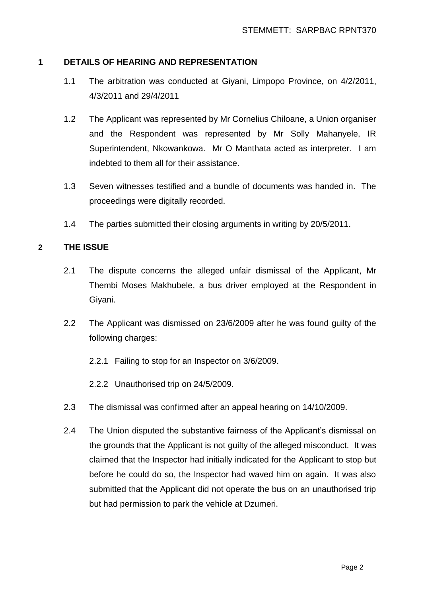### **1 DETAILS OF HEARING AND REPRESENTATION**

- 1.1 The arbitration was conducted at Giyani, Limpopo Province, on 4/2/2011, 4/3/2011 and 29/4/2011
- 1.2 The Applicant was represented by Mr Cornelius Chiloane, a Union organiser and the Respondent was represented by Mr Solly Mahanyele, IR Superintendent, Nkowankowa. Mr O Manthata acted as interpreter. I am indebted to them all for their assistance.
- 1.3 Seven witnesses testified and a bundle of documents was handed in. The proceedings were digitally recorded.
- 1.4 The parties submitted their closing arguments in writing by 20/5/2011.

### **2 THE ISSUE**

- 2.1 The dispute concerns the alleged unfair dismissal of the Applicant, Mr Thembi Moses Makhubele, a bus driver employed at the Respondent in Giyani.
- 2.2 The Applicant was dismissed on 23/6/2009 after he was found guilty of the following charges:
	- 2.2.1 Failing to stop for an Inspector on 3/6/2009.
	- 2.2.2 Unauthorised trip on 24/5/2009.
- 2.3 The dismissal was confirmed after an appeal hearing on 14/10/2009.
- 2.4 The Union disputed the substantive fairness of the Applicant's dismissal on the grounds that the Applicant is not guilty of the alleged misconduct. It was claimed that the Inspector had initially indicated for the Applicant to stop but before he could do so, the Inspector had waved him on again. It was also submitted that the Applicant did not operate the bus on an unauthorised trip but had permission to park the vehicle at Dzumeri.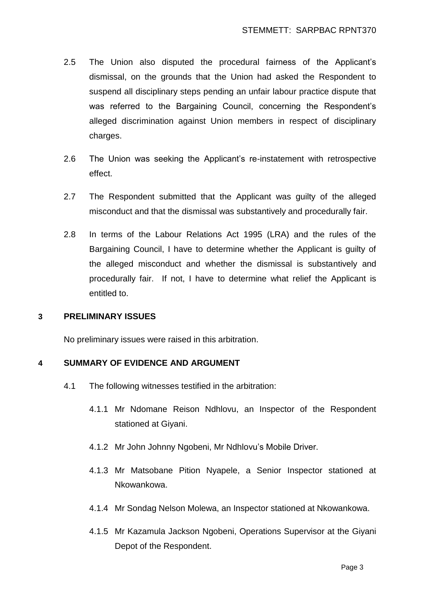- 2.5 The Union also disputed the procedural fairness of the Applicant's dismissal, on the grounds that the Union had asked the Respondent to suspend all disciplinary steps pending an unfair labour practice dispute that was referred to the Bargaining Council, concerning the Respondent's alleged discrimination against Union members in respect of disciplinary charges.
- 2.6 The Union was seeking the Applicant's re-instatement with retrospective effect.
- 2.7 The Respondent submitted that the Applicant was guilty of the alleged misconduct and that the dismissal was substantively and procedurally fair.
- 2.8 In terms of the Labour Relations Act 1995 (LRA) and the rules of the Bargaining Council, I have to determine whether the Applicant is guilty of the alleged misconduct and whether the dismissal is substantively and procedurally fair. If not, I have to determine what relief the Applicant is entitled to.

#### **3 PRELIMINARY ISSUES**

No preliminary issues were raised in this arbitration.

### **4 SUMMARY OF EVIDENCE AND ARGUMENT**

- 4.1 The following witnesses testified in the arbitration:
	- 4.1.1 Mr Ndomane Reison Ndhlovu, an Inspector of the Respondent stationed at Giyani.
	- 4.1.2 Mr John Johnny Ngobeni, Mr Ndhlovu's Mobile Driver.
	- 4.1.3 Mr Matsobane Pition Nyapele, a Senior Inspector stationed at Nkowankowa.
	- 4.1.4 Mr Sondag Nelson Molewa, an Inspector stationed at Nkowankowa.
	- 4.1.5 Mr Kazamula Jackson Ngobeni, Operations Supervisor at the Giyani Depot of the Respondent.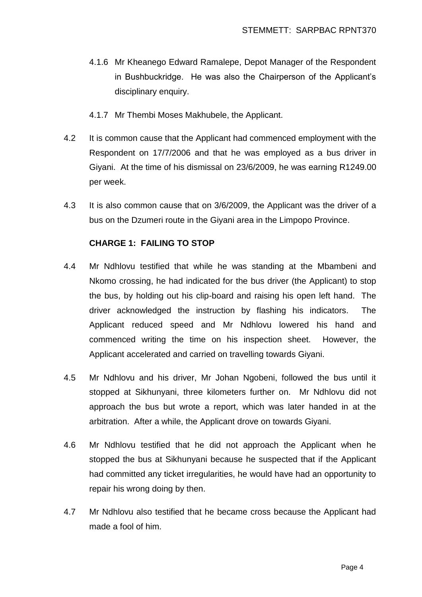- 4.1.6 Mr Kheanego Edward Ramalepe, Depot Manager of the Respondent in Bushbuckridge. He was also the Chairperson of the Applicant's disciplinary enquiry.
- 4.1.7 Mr Thembi Moses Makhubele, the Applicant.
- 4.2 It is common cause that the Applicant had commenced employment with the Respondent on 17/7/2006 and that he was employed as a bus driver in Giyani. At the time of his dismissal on 23/6/2009, he was earning R1249.00 per week.
- 4.3 It is also common cause that on 3/6/2009, the Applicant was the driver of a bus on the Dzumeri route in the Giyani area in the Limpopo Province.

### **CHARGE 1: FAILING TO STOP**

- 4.4 Mr Ndhlovu testified that while he was standing at the Mbambeni and Nkomo crossing, he had indicated for the bus driver (the Applicant) to stop the bus, by holding out his clip-board and raising his open left hand. The driver acknowledged the instruction by flashing his indicators. The Applicant reduced speed and Mr Ndhlovu lowered his hand and commenced writing the time on his inspection sheet. However, the Applicant accelerated and carried on travelling towards Giyani.
- 4.5 Mr Ndhlovu and his driver, Mr Johan Ngobeni, followed the bus until it stopped at Sikhunyani, three kilometers further on. Mr Ndhlovu did not approach the bus but wrote a report, which was later handed in at the arbitration. After a while, the Applicant drove on towards Giyani.
- 4.6 Mr Ndhlovu testified that he did not approach the Applicant when he stopped the bus at Sikhunyani because he suspected that if the Applicant had committed any ticket irregularities, he would have had an opportunity to repair his wrong doing by then.
- 4.7 Mr Ndhlovu also testified that he became cross because the Applicant had made a fool of him.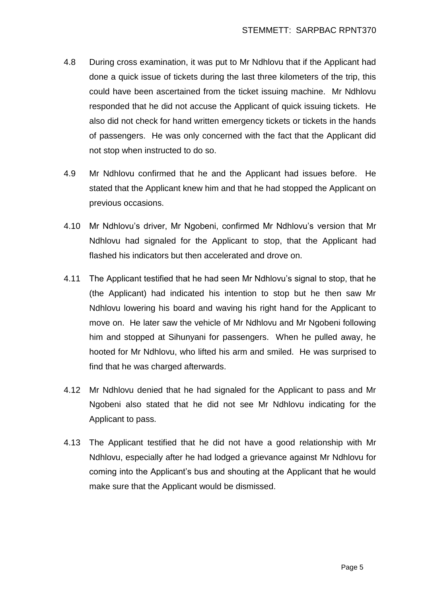- 4.8 During cross examination, it was put to Mr Ndhlovu that if the Applicant had done a quick issue of tickets during the last three kilometers of the trip, this could have been ascertained from the ticket issuing machine. Mr Ndhlovu responded that he did not accuse the Applicant of quick issuing tickets. He also did not check for hand written emergency tickets or tickets in the hands of passengers. He was only concerned with the fact that the Applicant did not stop when instructed to do so.
- 4.9 Mr Ndhlovu confirmed that he and the Applicant had issues before. He stated that the Applicant knew him and that he had stopped the Applicant on previous occasions.
- 4.10 Mr Ndhlovu's driver, Mr Ngobeni, confirmed Mr Ndhlovu's version that Mr Ndhlovu had signaled for the Applicant to stop, that the Applicant had flashed his indicators but then accelerated and drove on.
- 4.11 The Applicant testified that he had seen Mr Ndhlovu's signal to stop, that he (the Applicant) had indicated his intention to stop but he then saw Mr Ndhlovu lowering his board and waving his right hand for the Applicant to move on. He later saw the vehicle of Mr Ndhlovu and Mr Ngobeni following him and stopped at Sihunyani for passengers. When he pulled away, he hooted for Mr Ndhlovu, who lifted his arm and smiled. He was surprised to find that he was charged afterwards.
- 4.12 Mr Ndhlovu denied that he had signaled for the Applicant to pass and Mr Ngobeni also stated that he did not see Mr Ndhlovu indicating for the Applicant to pass.
- 4.13 The Applicant testified that he did not have a good relationship with Mr Ndhlovu, especially after he had lodged a grievance against Mr Ndhlovu for coming into the Applicant's bus and shouting at the Applicant that he would make sure that the Applicant would be dismissed.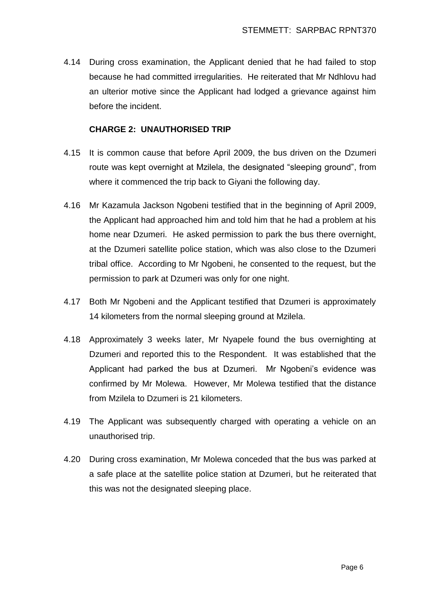4.14 During cross examination, the Applicant denied that he had failed to stop because he had committed irregularities. He reiterated that Mr Ndhlovu had an ulterior motive since the Applicant had lodged a grievance against him before the incident.

## **CHARGE 2: UNAUTHORISED TRIP**

- 4.15 It is common cause that before April 2009, the bus driven on the Dzumeri route was kept overnight at Mzilela, the designated "sleeping ground", from where it commenced the trip back to Giyani the following day.
- 4.16 Mr Kazamula Jackson Ngobeni testified that in the beginning of April 2009, the Applicant had approached him and told him that he had a problem at his home near Dzumeri. He asked permission to park the bus there overnight, at the Dzumeri satellite police station, which was also close to the Dzumeri tribal office. According to Mr Ngobeni, he consented to the request, but the permission to park at Dzumeri was only for one night.
- 4.17 Both Mr Ngobeni and the Applicant testified that Dzumeri is approximately 14 kilometers from the normal sleeping ground at Mzilela.
- 4.18 Approximately 3 weeks later, Mr Nyapele found the bus overnighting at Dzumeri and reported this to the Respondent. It was established that the Applicant had parked the bus at Dzumeri. Mr Ngobeni's evidence was confirmed by Mr Molewa. However, Mr Molewa testified that the distance from Mzilela to Dzumeri is 21 kilometers.
- 4.19 The Applicant was subsequently charged with operating a vehicle on an unauthorised trip.
- 4.20 During cross examination, Mr Molewa conceded that the bus was parked at a safe place at the satellite police station at Dzumeri, but he reiterated that this was not the designated sleeping place.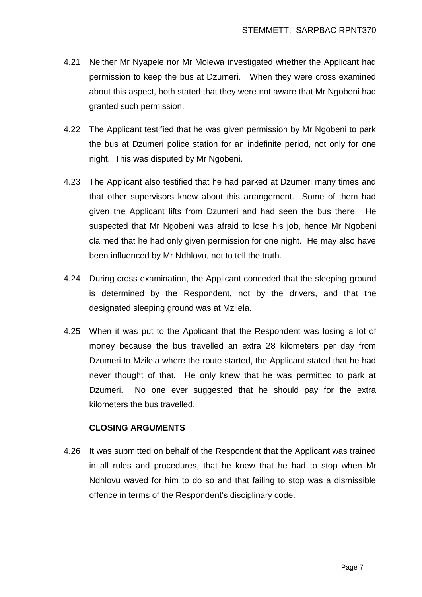- 4.21 Neither Mr Nyapele nor Mr Molewa investigated whether the Applicant had permission to keep the bus at Dzumeri. When they were cross examined about this aspect, both stated that they were not aware that Mr Ngobeni had granted such permission.
- 4.22 The Applicant testified that he was given permission by Mr Ngobeni to park the bus at Dzumeri police station for an indefinite period, not only for one night. This was disputed by Mr Ngobeni.
- 4.23 The Applicant also testified that he had parked at Dzumeri many times and that other supervisors knew about this arrangement. Some of them had given the Applicant lifts from Dzumeri and had seen the bus there. He suspected that Mr Ngobeni was afraid to lose his job, hence Mr Ngobeni claimed that he had only given permission for one night. He may also have been influenced by Mr Ndhlovu, not to tell the truth.
- 4.24 During cross examination, the Applicant conceded that the sleeping ground is determined by the Respondent, not by the drivers, and that the designated sleeping ground was at Mzilela.
- 4.25 When it was put to the Applicant that the Respondent was losing a lot of money because the bus travelled an extra 28 kilometers per day from Dzumeri to Mzilela where the route started, the Applicant stated that he had never thought of that. He only knew that he was permitted to park at Dzumeri. No one ever suggested that he should pay for the extra kilometers the bus travelled.

### **CLOSING ARGUMENTS**

4.26 It was submitted on behalf of the Respondent that the Applicant was trained in all rules and procedures, that he knew that he had to stop when Mr Ndhlovu waved for him to do so and that failing to stop was a dismissible offence in terms of the Respondent's disciplinary code.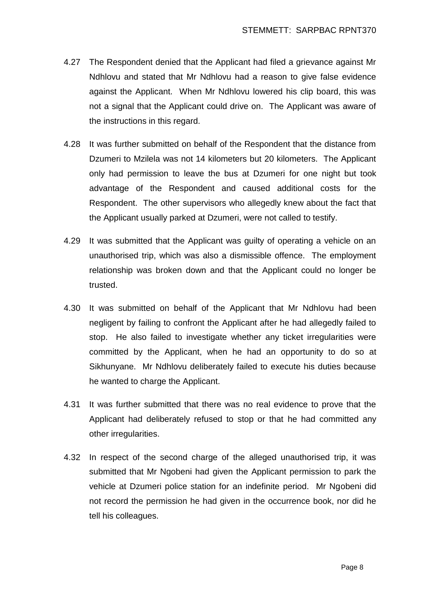- 4.27 The Respondent denied that the Applicant had filed a grievance against Mr Ndhlovu and stated that Mr Ndhlovu had a reason to give false evidence against the Applicant. When Mr Ndhlovu lowered his clip board, this was not a signal that the Applicant could drive on. The Applicant was aware of the instructions in this regard.
- 4.28 It was further submitted on behalf of the Respondent that the distance from Dzumeri to Mzilela was not 14 kilometers but 20 kilometers. The Applicant only had permission to leave the bus at Dzumeri for one night but took advantage of the Respondent and caused additional costs for the Respondent. The other supervisors who allegedly knew about the fact that the Applicant usually parked at Dzumeri, were not called to testify.
- 4.29 It was submitted that the Applicant was guilty of operating a vehicle on an unauthorised trip, which was also a dismissible offence. The employment relationship was broken down and that the Applicant could no longer be trusted.
- 4.30 It was submitted on behalf of the Applicant that Mr Ndhlovu had been negligent by failing to confront the Applicant after he had allegedly failed to stop. He also failed to investigate whether any ticket irregularities were committed by the Applicant, when he had an opportunity to do so at Sikhunyane. Mr Ndhlovu deliberately failed to execute his duties because he wanted to charge the Applicant.
- 4.31 It was further submitted that there was no real evidence to prove that the Applicant had deliberately refused to stop or that he had committed any other irregularities.
- 4.32 In respect of the second charge of the alleged unauthorised trip, it was submitted that Mr Ngobeni had given the Applicant permission to park the vehicle at Dzumeri police station for an indefinite period. Mr Ngobeni did not record the permission he had given in the occurrence book, nor did he tell his colleagues.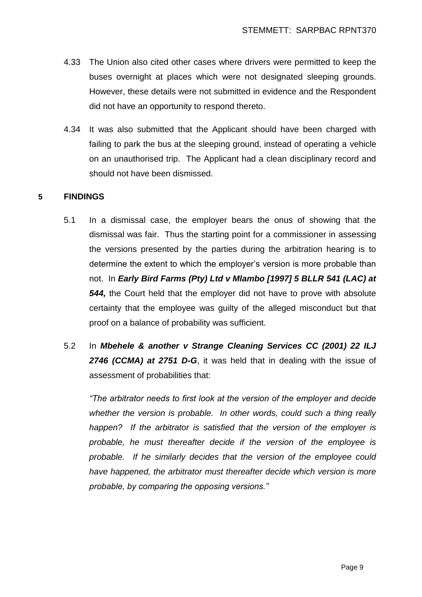- 4.33 The Union also cited other cases where drivers were permitted to keep the buses overnight at places which were not designated sleeping grounds. However, these details were not submitted in evidence and the Respondent did not have an opportunity to respond thereto.
- 4.34 It was also submitted that the Applicant should have been charged with failing to park the bus at the sleeping ground, instead of operating a vehicle on an unauthorised trip. The Applicant had a clean disciplinary record and should not have been dismissed.

## **5 FINDINGS**

- 5.1 In a dismissal case, the employer bears the onus of showing that the dismissal was fair. Thus the starting point for a commissioner in assessing the versions presented by the parties during the arbitration hearing is to determine the extent to which the employer's version is more probable than not. In *Early Bird Farms (Pty) Ltd v Mlambo [1997] 5 BLLR 541 (LAC) at 544,* the Court held that the employer did not have to prove with absolute certainty that the employee was guilty of the alleged misconduct but that proof on a balance of probability was sufficient.
- 5.2 In *Mbehele & another v Strange Cleaning Services CC (2001) 22 ILJ 2746 (CCMA) at 2751 D-G*, it was held that in dealing with the issue of assessment of probabilities that:

*"The arbitrator needs to first look at the version of the employer and decide whether the version is probable. In other words, could such a thing really happen? If the arbitrator is satisfied that the version of the employer is probable, he must thereafter decide if the version of the employee is probable. If he similarly decides that the version of the employee could have happened, the arbitrator must thereafter decide which version is more probable, by comparing the opposing versions."*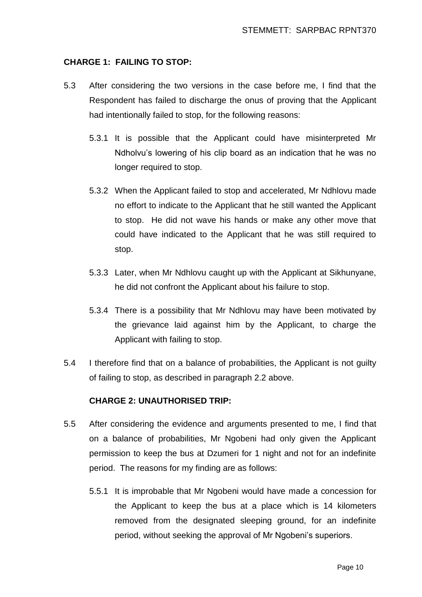### **CHARGE 1: FAILING TO STOP:**

- 5.3 After considering the two versions in the case before me, I find that the Respondent has failed to discharge the onus of proving that the Applicant had intentionally failed to stop, for the following reasons:
	- 5.3.1 It is possible that the Applicant could have misinterpreted Mr Ndholvu's lowering of his clip board as an indication that he was no longer required to stop.
	- 5.3.2 When the Applicant failed to stop and accelerated, Mr Ndhlovu made no effort to indicate to the Applicant that he still wanted the Applicant to stop. He did not wave his hands or make any other move that could have indicated to the Applicant that he was still required to stop.
	- 5.3.3 Later, when Mr Ndhlovu caught up with the Applicant at Sikhunyane, he did not confront the Applicant about his failure to stop.
	- 5.3.4 There is a possibility that Mr Ndhlovu may have been motivated by the grievance laid against him by the Applicant, to charge the Applicant with failing to stop.
- 5.4 I therefore find that on a balance of probabilities, the Applicant is not guilty of failing to stop, as described in paragraph 2.2 above.

#### **CHARGE 2: UNAUTHORISED TRIP:**

- 5.5 After considering the evidence and arguments presented to me, I find that on a balance of probabilities, Mr Ngobeni had only given the Applicant permission to keep the bus at Dzumeri for 1 night and not for an indefinite period. The reasons for my finding are as follows:
	- 5.5.1 It is improbable that Mr Ngobeni would have made a concession for the Applicant to keep the bus at a place which is 14 kilometers removed from the designated sleeping ground, for an indefinite period, without seeking the approval of Mr Ngobeni's superiors.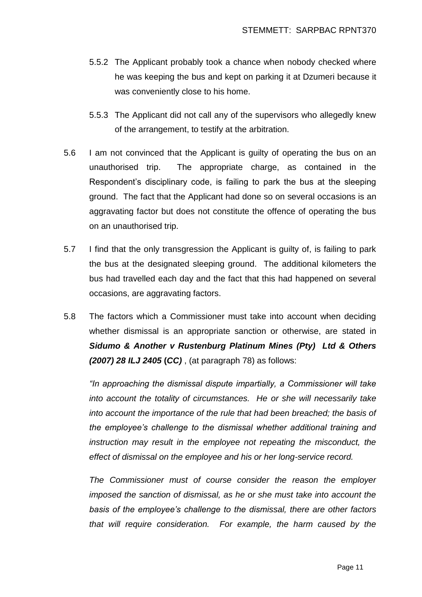- 5.5.2 The Applicant probably took a chance when nobody checked where he was keeping the bus and kept on parking it at Dzumeri because it was conveniently close to his home.
- 5.5.3 The Applicant did not call any of the supervisors who allegedly knew of the arrangement, to testify at the arbitration.
- 5.6 I am not convinced that the Applicant is guilty of operating the bus on an unauthorised trip. The appropriate charge, as contained in the Respondent's disciplinary code, is failing to park the bus at the sleeping ground. The fact that the Applicant had done so on several occasions is an aggravating factor but does not constitute the offence of operating the bus on an unauthorised trip.
- 5.7 I find that the only transgression the Applicant is guilty of, is failing to park the bus at the designated sleeping ground. The additional kilometers the bus had travelled each day and the fact that this had happened on several occasions, are aggravating factors.
- 5.8 The factors which a Commissioner must take into account when deciding whether dismissal is an appropriate sanction or otherwise, are stated in *Sidumo & Another v Rustenburg Platinum Mines (Pty) Ltd & Others (2007) 28 ILJ 2405* **(***CC)* , (at paragraph 78) as follows:

*"In approaching the dismissal dispute impartially, a Commissioner will take into account the totality of circumstances. He or she will necessarily take into account the importance of the rule that had been breached; the basis of the employee's challenge to the dismissal whether additional training and instruction may result in the employee not repeating the misconduct, the effect of dismissal on the employee and his or her long-service record.*

*The Commissioner must of course consider the reason the employer imposed the sanction of dismissal, as he or she must take into account the basis of the employee's challenge to the dismissal, there are other factors that will require consideration. For example, the harm caused by the*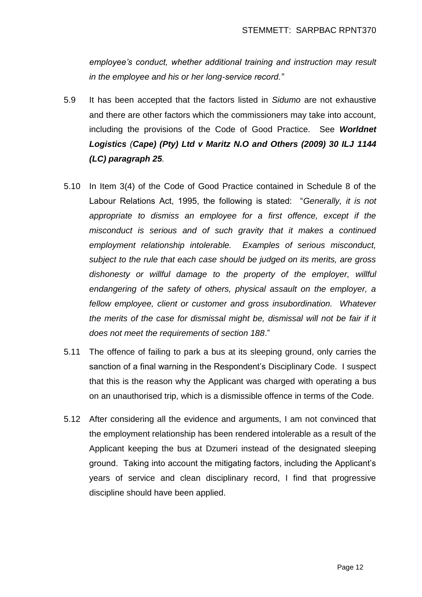*employee's conduct, whether additional training and instruction may result in the employee and his or her long-service record."*

- 5.9 It has been accepted that the factors listed in *Sidumo* are not exhaustive and there are other factors which the commissioners may take into account, including the provisions of the Code of Good Practice. See *Worldnet Logistics (Cape) (Pty) Ltd v Maritz N.O and Others (2009) 30 ILJ 1144 (LC) paragraph 25.*
- 5.10 In Item 3(4) of the Code of Good Practice contained in Schedule 8 of the Labour Relations Act, 1995, the following is stated: "*Generally, it is not appropriate to dismiss an employee for a first offence, except if the misconduct is serious and of such gravity that it makes a continued employment relationship intolerable. Examples of serious misconduct, subject to the rule that each case should be judged on its merits, are gross dishonesty or willful damage to the property of the employer, willful endangering of the safety of others, physical assault on the employer, a fellow employee, client or customer and gross insubordination. Whatever*  the merits of the case for dismissal might be, dismissal will not be fair if it *does not meet the requirements of section 188*."
- 5.11 The offence of failing to park a bus at its sleeping ground, only carries the sanction of a final warning in the Respondent's Disciplinary Code. I suspect that this is the reason why the Applicant was charged with operating a bus on an unauthorised trip, which is a dismissible offence in terms of the Code.
- 5.12 After considering all the evidence and arguments, I am not convinced that the employment relationship has been rendered intolerable as a result of the Applicant keeping the bus at Dzumeri instead of the designated sleeping ground. Taking into account the mitigating factors, including the Applicant's years of service and clean disciplinary record, I find that progressive discipline should have been applied.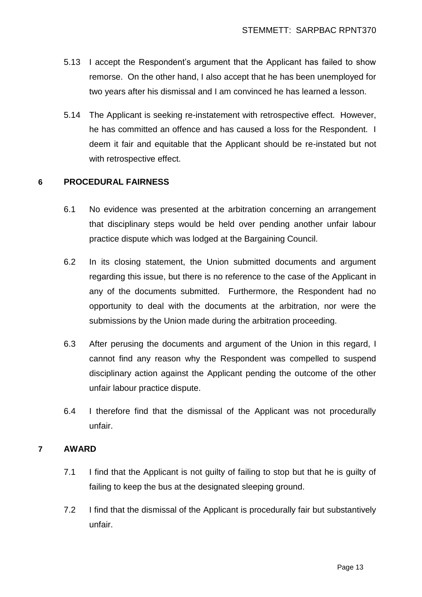- 5.13 I accept the Respondent's argument that the Applicant has failed to show remorse. On the other hand, I also accept that he has been unemployed for two years after his dismissal and I am convinced he has learned a lesson.
- 5.14 The Applicant is seeking re-instatement with retrospective effect. However, he has committed an offence and has caused a loss for the Respondent. I deem it fair and equitable that the Applicant should be re-instated but not with retrospective effect.

### **6 PROCEDURAL FAIRNESS**

- 6.1 No evidence was presented at the arbitration concerning an arrangement that disciplinary steps would be held over pending another unfair labour practice dispute which was lodged at the Bargaining Council.
- 6.2 In its closing statement, the Union submitted documents and argument regarding this issue, but there is no reference to the case of the Applicant in any of the documents submitted. Furthermore, the Respondent had no opportunity to deal with the documents at the arbitration, nor were the submissions by the Union made during the arbitration proceeding.
- 6.3 After perusing the documents and argument of the Union in this regard, I cannot find any reason why the Respondent was compelled to suspend disciplinary action against the Applicant pending the outcome of the other unfair labour practice dispute.
- 6.4 I therefore find that the dismissal of the Applicant was not procedurally unfair.

## **7 AWARD**

- 7.1 I find that the Applicant is not guilty of failing to stop but that he is guilty of failing to keep the bus at the designated sleeping ground.
- 7.2 I find that the dismissal of the Applicant is procedurally fair but substantively unfair.